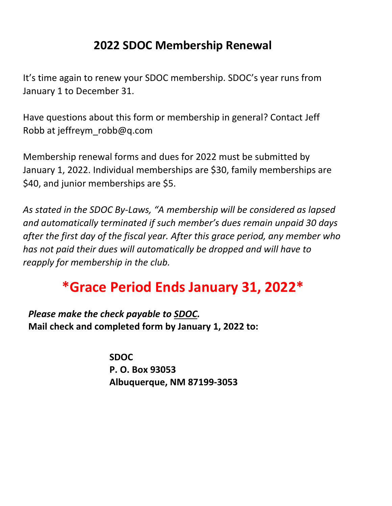## **2022 SDOC Membership Renewal**

It's time again to renew your SDOC membership. SDOC's year runs from January 1 to December 31.

Have questions about this form or membership in general? Contact Jeff Robb at jeffreym\_robb@q.com

Membership renewal forms and dues for 2022 must be submitted by January 1, 2022. Individual memberships are \$30, family memberships are \$40, and junior memberships are \$5.

*As stated in the SDOC By-Laws, "A membership will be considered as lapsed and automatically terminated if such member's dues remain unpaid 30 days after the first day of the fiscal year. After this grace period, any member who has not paid their dues will automatically be dropped and will have to reapply for membership in the club.* 

## **\*Grace Period Ends January 31, 2022\***

*Please make the check payable to SDOC.*  **Mail check and completed form by January 1, 2022 to:**

> **SDOC P. O. Box 93053 Albuquerque, NM 87199-3053**